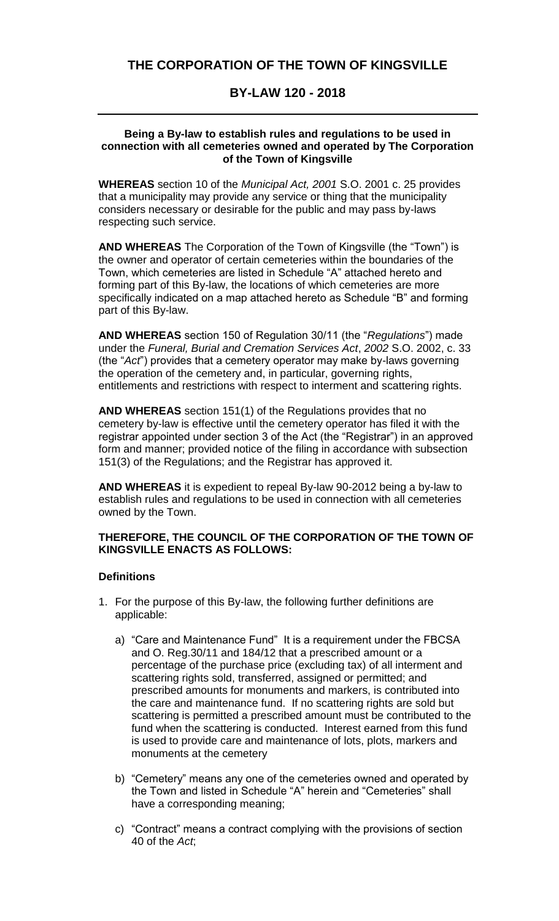# **THE CORPORATION OF THE TOWN OF KINGSVILLE**

# **BY-LAW 120 - 2018**

#### **Being a By-law to establish rules and regulations to be used in connection with all cemeteries owned and operated by The Corporation of the Town of Kingsville**

**WHEREAS** section 10 of the *Municipal Act, 2001* S.O. 2001 c. 25 provides that a municipality may provide any service or thing that the municipality considers necessary or desirable for the public and may pass by-laws respecting such service.

**AND WHEREAS** The Corporation of the Town of Kingsville (the "Town") is the owner and operator of certain cemeteries within the boundaries of the Town, which cemeteries are listed in Schedule "A" attached hereto and forming part of this By-law, the locations of which cemeteries are more specifically indicated on a map attached hereto as Schedule "B" and forming part of this By-law.

**AND WHEREAS** section 150 of Regulation 30/11 (the "*Regulations*") made under the *Funeral, Burial and Cremation Services Act*, *2002* S.O. 2002, c. 33 (the "*Act*") provides that a cemetery operator may make by-laws governing the operation of the cemetery and, in particular, governing rights, entitlements and restrictions with respect to interment and scattering rights.

**AND WHEREAS** section 151(1) of the Regulations provides that no cemetery by-law is effective until the cemetery operator has filed it with the registrar appointed under section 3 of the Act (the "Registrar") in an approved form and manner; provided notice of the filing in accordance with subsection 151(3) of the Regulations; and the Registrar has approved it.

**AND WHEREAS** it is expedient to repeal By-law 90-2012 being a by-law to establish rules and regulations to be used in connection with all cemeteries owned by the Town.

#### **THEREFORE, THE COUNCIL OF THE CORPORATION OF THE TOWN OF KINGSVILLE ENACTS AS FOLLOWS:**

# **Definitions**

- 1. For the purpose of this By-law, the following further definitions are applicable:
	- a) "Care and Maintenance Fund" It is a requirement under the FBCSA and O. Reg.30/11 and 184/12 that a prescribed amount or a percentage of the purchase price (excluding tax) of all interment and scattering rights sold, transferred, assigned or permitted; and prescribed amounts for monuments and markers, is contributed into the care and maintenance fund. If no scattering rights are sold but scattering is permitted a prescribed amount must be contributed to the fund when the scattering is conducted. Interest earned from this fund is used to provide care and maintenance of lots, plots, markers and monuments at the cemetery
	- b) "Cemetery" means any one of the cemeteries owned and operated by the Town and listed in Schedule "A" herein and "Cemeteries" shall have a corresponding meaning;
	- c) "Contract" means a contract complying with the provisions of section 40 of the *Act*;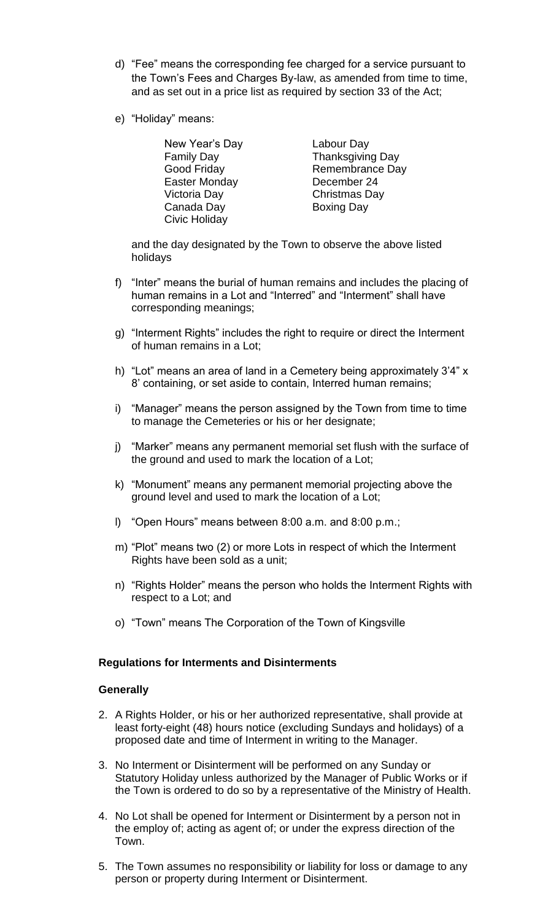- d) "Fee" means the corresponding fee charged for a service pursuant to the Town's Fees and Charges By-law, as amended from time to time, and as set out in a price list as required by section 33 of the Act;
- e) "Holiday" means:

| New Year's Day    | Labour Day              |
|-------------------|-------------------------|
| <b>Family Day</b> | <b>Thanksgiving Day</b> |
| Good Friday       | Remembrance Day         |
| Easter Monday     | December 24             |
| Victoria Day      | Christmas Day           |
| Canada Day        | <b>Boxing Day</b>       |
| Civic Holiday     |                         |

and the day designated by the Town to observe the above listed holidays

- f) "Inter" means the burial of human remains and includes the placing of human remains in a Lot and "Interred" and "Interment" shall have corresponding meanings;
- g) "Interment Rights" includes the right to require or direct the Interment of human remains in a Lot;
- h) "Lot" means an area of land in a Cemetery being approximately 3'4" x 8' containing, or set aside to contain, Interred human remains;
- i) "Manager" means the person assigned by the Town from time to time to manage the Cemeteries or his or her designate;
- j) "Marker" means any permanent memorial set flush with the surface of the ground and used to mark the location of a Lot;
- k) "Monument" means any permanent memorial projecting above the ground level and used to mark the location of a Lot;
- l) "Open Hours" means between 8:00 a.m. and 8:00 p.m.;
- m) "Plot" means two (2) or more Lots in respect of which the Interment Rights have been sold as a unit;
- n) "Rights Holder" means the person who holds the Interment Rights with respect to a Lot; and
- o) "Town" means The Corporation of the Town of Kingsville

#### **Regulations for Interments and Disinterments**

#### **Generally**

- 2. A Rights Holder, or his or her authorized representative, shall provide at least forty-eight (48) hours notice (excluding Sundays and holidays) of a proposed date and time of Interment in writing to the Manager.
- 3. No Interment or Disinterment will be performed on any Sunday or Statutory Holiday unless authorized by the Manager of Public Works or if the Town is ordered to do so by a representative of the Ministry of Health.
- 4. No Lot shall be opened for Interment or Disinterment by a person not in the employ of; acting as agent of; or under the express direction of the Town.
- 5. The Town assumes no responsibility or liability for loss or damage to any person or property during Interment or Disinterment.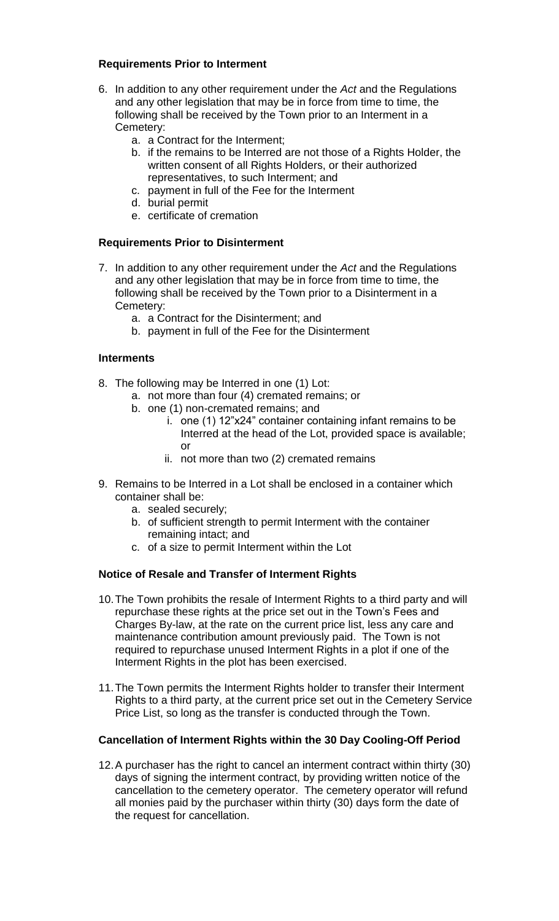### **Requirements Prior to Interment**

- 6. In addition to any other requirement under the *Act* and the Regulations and any other legislation that may be in force from time to time, the following shall be received by the Town prior to an Interment in a Cemetery:
	- a. a Contract for the Interment;
	- b. if the remains to be Interred are not those of a Rights Holder, the written consent of all Rights Holders, or their authorized representatives, to such Interment; and
	- c. payment in full of the Fee for the Interment
	- d. burial permit
	- e. certificate of cremation

### **Requirements Prior to Disinterment**

- 7. In addition to any other requirement under the *Act* and the Regulations and any other legislation that may be in force from time to time, the following shall be received by the Town prior to a Disinterment in a Cemetery:
	- a. a Contract for the Disinterment; and
	- b. payment in full of the Fee for the Disinterment

### **Interments**

- 8. The following may be Interred in one (1) Lot:
	- a. not more than four (4) cremated remains; or
	- b. one (1) non-cremated remains; and
		- i. one (1) 12"x24" container containing infant remains to be Interred at the head of the Lot, provided space is available; or
		- ii. not more than two (2) cremated remains
- 9. Remains to be Interred in a Lot shall be enclosed in a container which container shall be:
	- a. sealed securely;
	- b. of sufficient strength to permit Interment with the container remaining intact; and
	- c. of a size to permit Interment within the Lot

# **Notice of Resale and Transfer of Interment Rights**

- 10.The Town prohibits the resale of Interment Rights to a third party and will repurchase these rights at the price set out in the Town's Fees and Charges By-law, at the rate on the current price list, less any care and maintenance contribution amount previously paid. The Town is not required to repurchase unused Interment Rights in a plot if one of the Interment Rights in the plot has been exercised.
- 11.The Town permits the Interment Rights holder to transfer their Interment Rights to a third party, at the current price set out in the Cemetery Service Price List, so long as the transfer is conducted through the Town.

# **Cancellation of Interment Rights within the 30 Day Cooling-Off Period**

12.A purchaser has the right to cancel an interment contract within thirty (30) days of signing the interment contract, by providing written notice of the cancellation to the cemetery operator. The cemetery operator will refund all monies paid by the purchaser within thirty (30) days form the date of the request for cancellation.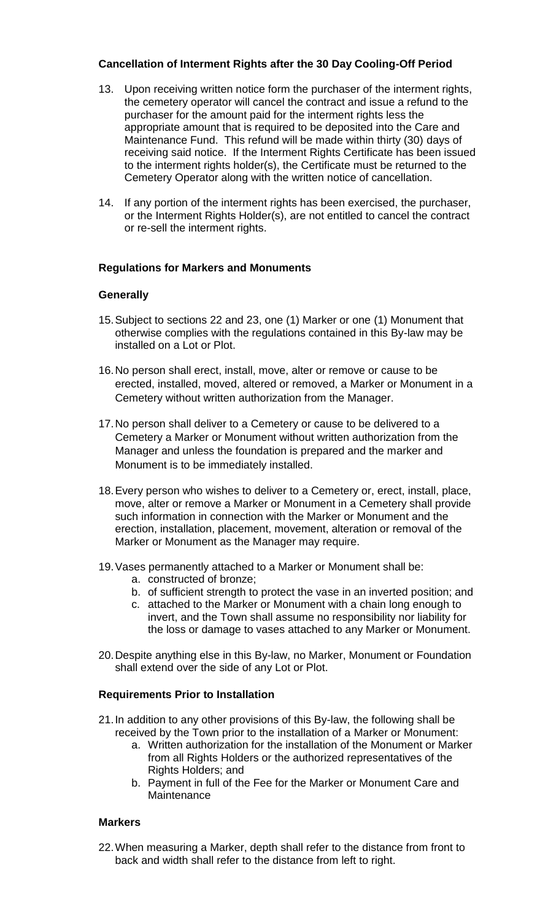# **Cancellation of Interment Rights after the 30 Day Cooling-Off Period**

- 13. Upon receiving written notice form the purchaser of the interment rights, the cemetery operator will cancel the contract and issue a refund to the purchaser for the amount paid for the interment rights less the appropriate amount that is required to be deposited into the Care and Maintenance Fund. This refund will be made within thirty (30) days of receiving said notice. If the Interment Rights Certificate has been issued to the interment rights holder(s), the Certificate must be returned to the Cemetery Operator along with the written notice of cancellation.
- 14. If any portion of the interment rights has been exercised, the purchaser, or the Interment Rights Holder(s), are not entitled to cancel the contract or re-sell the interment rights.

# **Regulations for Markers and Monuments**

# **Generally**

- 15.Subject to sections 22 and 23, one (1) Marker or one (1) Monument that otherwise complies with the regulations contained in this By-law may be installed on a Lot or Plot.
- 16.No person shall erect, install, move, alter or remove or cause to be erected, installed, moved, altered or removed, a Marker or Monument in a Cemetery without written authorization from the Manager.
- 17.No person shall deliver to a Cemetery or cause to be delivered to a Cemetery a Marker or Monument without written authorization from the Manager and unless the foundation is prepared and the marker and Monument is to be immediately installed.
- 18.Every person who wishes to deliver to a Cemetery or, erect, install, place, move, alter or remove a Marker or Monument in a Cemetery shall provide such information in connection with the Marker or Monument and the erection, installation, placement, movement, alteration or removal of the Marker or Monument as the Manager may require.
- 19.Vases permanently attached to a Marker or Monument shall be:
	- a. constructed of bronze;
	- b. of sufficient strength to protect the vase in an inverted position; and
	- c. attached to the Marker or Monument with a chain long enough to invert, and the Town shall assume no responsibility nor liability for the loss or damage to vases attached to any Marker or Monument.
- 20.Despite anything else in this By-law, no Marker, Monument or Foundation shall extend over the side of any Lot or Plot.

# **Requirements Prior to Installation**

- 21.In addition to any other provisions of this By-law, the following shall be received by the Town prior to the installation of a Marker or Monument:
	- a. Written authorization for the installation of the Monument or Marker from all Rights Holders or the authorized representatives of the Rights Holders; and
	- b. Payment in full of the Fee for the Marker or Monument Care and **Maintenance**

# **Markers**

22.When measuring a Marker, depth shall refer to the distance from front to back and width shall refer to the distance from left to right.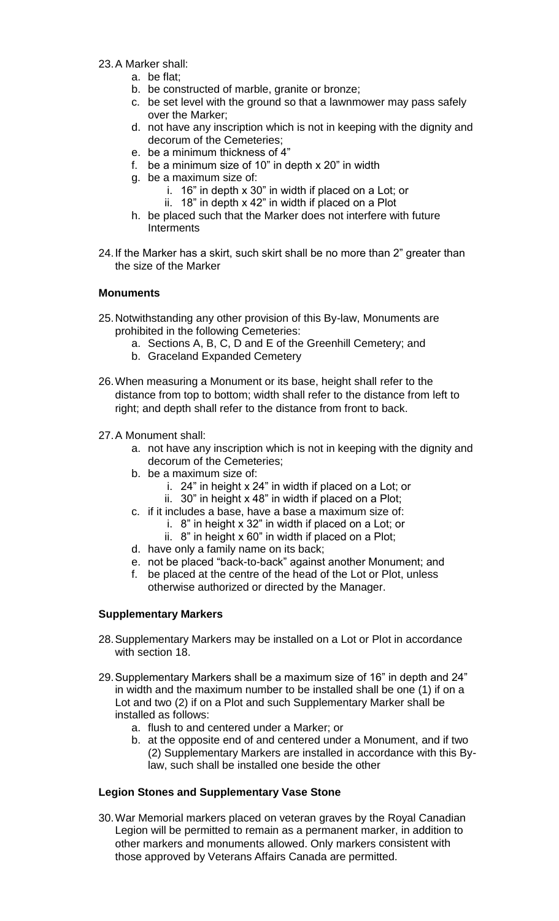- 23.A Marker shall:
	- a. be flat;
	- b. be constructed of marble, granite or bronze;
	- c. be set level with the ground so that a lawnmower may pass safely over the Marker;
	- d. not have any inscription which is not in keeping with the dignity and decorum of the Cemeteries;
	- e. be a minimum thickness of 4"
	- f. be a minimum size of 10" in depth x 20" in width
	- g. be a maximum size of:
		- i. 16" in depth x 30" in width if placed on a Lot; or
		- ii. 18" in depth x 42" in width if placed on a Plot
	- h. be placed such that the Marker does not interfere with future Interments
- 24.If the Marker has a skirt, such skirt shall be no more than 2" greater than the size of the Marker

### **Monuments**

- 25.Notwithstanding any other provision of this By-law, Monuments are prohibited in the following Cemeteries:
	- a. Sections A, B, C, D and E of the Greenhill Cemetery; and
	- b. Graceland Expanded Cemetery
- 26.When measuring a Monument or its base, height shall refer to the distance from top to bottom; width shall refer to the distance from left to right; and depth shall refer to the distance from front to back.
- 27.A Monument shall:
	- a. not have any inscription which is not in keeping with the dignity and decorum of the Cemeteries;
	- b. be a maximum size of:
		- i. 24" in height x 24" in width if placed on a Lot; or
		- ii. 30" in height x 48" in width if placed on a Plot;
	- c. if it includes a base, have a base a maximum size of:
		- i. 8" in height x 32" in width if placed on a Lot; or
		- ii. 8" in height x 60" in width if placed on a Plot;
	- d. have only a family name on its back;
	- e. not be placed "back-to-back" against another Monument; and
	- f. be placed at the centre of the head of the Lot or Plot, unless otherwise authorized or directed by the Manager.

# **Supplementary Markers**

- 28.Supplementary Markers may be installed on a Lot or Plot in accordance with section 18.
- 29.Supplementary Markers shall be a maximum size of 16" in depth and 24" in width and the maximum number to be installed shall be one (1) if on a Lot and two (2) if on a Plot and such Supplementary Marker shall be installed as follows:
	- a. flush to and centered under a Marker; or
	- b. at the opposite end of and centered under a Monument, and if two (2) Supplementary Markers are installed in accordance with this Bylaw, such shall be installed one beside the other

# **Legion Stones and Supplementary Vase Stone**

30.War Memorial markers placed on veteran graves by the Royal Canadian Legion will be permitted to remain as a permanent marker, in addition to other markers and monuments allowed. Only markers consistent with those approved by Veterans Affairs Canada are permitted.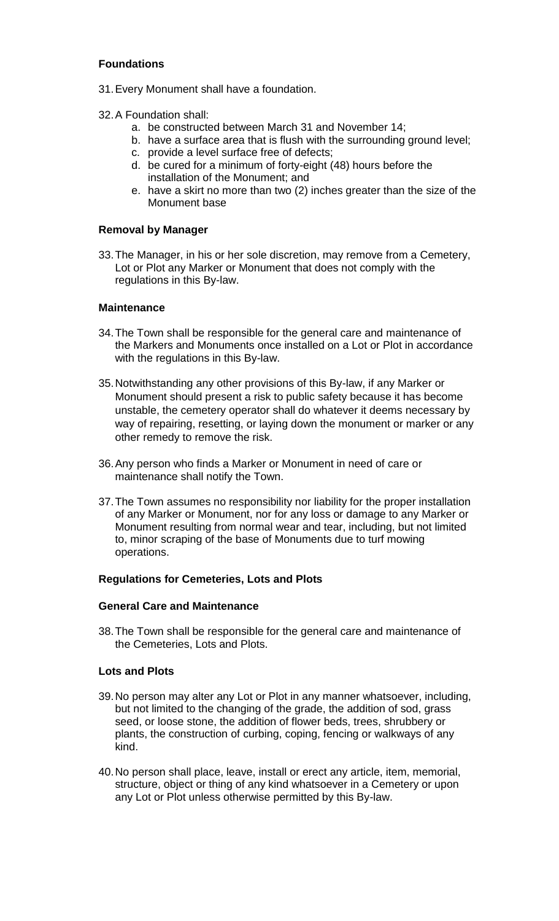# **Foundations**

- 31.Every Monument shall have a foundation.
- 32.A Foundation shall:
	- a. be constructed between March 31 and November 14;
	- b. have a surface area that is flush with the surrounding ground level;
	- c. provide a level surface free of defects;
	- d. be cured for a minimum of forty-eight (48) hours before the installation of the Monument; and
	- e. have a skirt no more than two (2) inches greater than the size of the Monument base

#### **Removal by Manager**

33.The Manager, in his or her sole discretion, may remove from a Cemetery, Lot or Plot any Marker or Monument that does not comply with the regulations in this By-law.

#### **Maintenance**

- 34.The Town shall be responsible for the general care and maintenance of the Markers and Monuments once installed on a Lot or Plot in accordance with the regulations in this By-law.
- 35.Notwithstanding any other provisions of this By-law, if any Marker or Monument should present a risk to public safety because it has become unstable, the cemetery operator shall do whatever it deems necessary by way of repairing, resetting, or laying down the monument or marker or any other remedy to remove the risk.
- 36.Any person who finds a Marker or Monument in need of care or maintenance shall notify the Town.
- 37.The Town assumes no responsibility nor liability for the proper installation of any Marker or Monument, nor for any loss or damage to any Marker or Monument resulting from normal wear and tear, including, but not limited to, minor scraping of the base of Monuments due to turf mowing operations.

#### **Regulations for Cemeteries, Lots and Plots**

#### **General Care and Maintenance**

38.The Town shall be responsible for the general care and maintenance of the Cemeteries, Lots and Plots.

### **Lots and Plots**

- 39.No person may alter any Lot or Plot in any manner whatsoever, including, but not limited to the changing of the grade, the addition of sod, grass seed, or loose stone, the addition of flower beds, trees, shrubbery or plants, the construction of curbing, coping, fencing or walkways of any kind.
- 40.No person shall place, leave, install or erect any article, item, memorial, structure, object or thing of any kind whatsoever in a Cemetery or upon any Lot or Plot unless otherwise permitted by this By-law.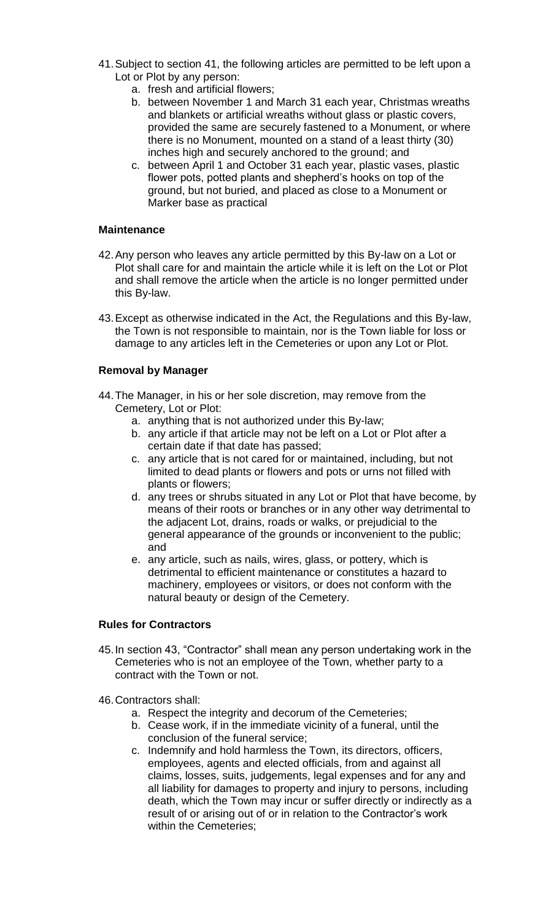- 41.Subject to section 41, the following articles are permitted to be left upon a Lot or Plot by any person:
	- a. fresh and artificial flowers;
	- b. between November 1 and March 31 each year, Christmas wreaths and blankets or artificial wreaths without glass or plastic covers, provided the same are securely fastened to a Monument, or where there is no Monument, mounted on a stand of a least thirty (30) inches high and securely anchored to the ground; and
	- c. between April 1 and October 31 each year, plastic vases, plastic flower pots, potted plants and shepherd's hooks on top of the ground, but not buried, and placed as close to a Monument or Marker base as practical

### **Maintenance**

- 42.Any person who leaves any article permitted by this By-law on a Lot or Plot shall care for and maintain the article while it is left on the Lot or Plot and shall remove the article when the article is no longer permitted under this By-law.
- 43.Except as otherwise indicated in the Act, the Regulations and this By-law, the Town is not responsible to maintain, nor is the Town liable for loss or damage to any articles left in the Cemeteries or upon any Lot or Plot.

# **Removal by Manager**

- 44.The Manager, in his or her sole discretion, may remove from the Cemetery, Lot or Plot:
	- a. anything that is not authorized under this By-law;
	- b. any article if that article may not be left on a Lot or Plot after a certain date if that date has passed;
	- c. any article that is not cared for or maintained, including, but not limited to dead plants or flowers and pots or urns not filled with plants or flowers;
	- d. any trees or shrubs situated in any Lot or Plot that have become, by means of their roots or branches or in any other way detrimental to the adjacent Lot, drains, roads or walks, or prejudicial to the general appearance of the grounds or inconvenient to the public; and
	- e. any article, such as nails, wires, glass, or pottery, which is detrimental to efficient maintenance or constitutes a hazard to machinery, employees or visitors, or does not conform with the natural beauty or design of the Cemetery.

#### **Rules for Contractors**

- 45.In section 43, "Contractor" shall mean any person undertaking work in the Cemeteries who is not an employee of the Town, whether party to a contract with the Town or not.
- 46.Contractors shall:
	- a. Respect the integrity and decorum of the Cemeteries;
	- b. Cease work, if in the immediate vicinity of a funeral, until the conclusion of the funeral service;
	- c. Indemnify and hold harmless the Town, its directors, officers, employees, agents and elected officials, from and against all claims, losses, suits, judgements, legal expenses and for any and all liability for damages to property and injury to persons, including death, which the Town may incur or suffer directly or indirectly as a result of or arising out of or in relation to the Contractor's work within the Cemeteries;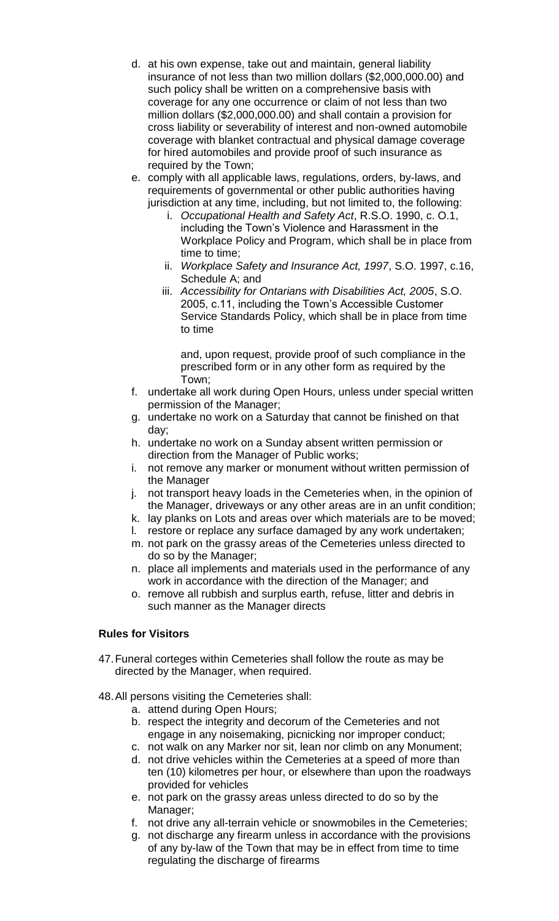- d. at his own expense, take out and maintain, general liability insurance of not less than two million dollars (\$2,000,000.00) and such policy shall be written on a comprehensive basis with coverage for any one occurrence or claim of not less than two million dollars (\$2,000,000.00) and shall contain a provision for cross liability or severability of interest and non-owned automobile coverage with blanket contractual and physical damage coverage for hired automobiles and provide proof of such insurance as required by the Town;
- e. comply with all applicable laws, regulations, orders, by-laws, and requirements of governmental or other public authorities having jurisdiction at any time, including, but not limited to, the following:
	- i. *Occupational Health and Safety Act*, R.S.O. 1990, c. O.1, including the Town's Violence and Harassment in the Workplace Policy and Program, which shall be in place from time to time;
	- ii. *Workplace Safety and Insurance Act, 1997*, S.O. 1997, c.16, Schedule A; and
	- iii. *Accessibility for Ontarians with Disabilities Act, 2005*, S.O. 2005, c.11, including the Town's Accessible Customer Service Standards Policy, which shall be in place from time to time

and, upon request, provide proof of such compliance in the prescribed form or in any other form as required by the Town;

- f. undertake all work during Open Hours, unless under special written permission of the Manager;
- g. undertake no work on a Saturday that cannot be finished on that day;
- h. undertake no work on a Sunday absent written permission or direction from the Manager of Public works;
- i. not remove any marker or monument without written permission of the Manager
- j. not transport heavy loads in the Cemeteries when, in the opinion of the Manager, driveways or any other areas are in an unfit condition;
- k. lay planks on Lots and areas over which materials are to be moved;
- l. restore or replace any surface damaged by any work undertaken;
- m. not park on the grassy areas of the Cemeteries unless directed to do so by the Manager;
- n. place all implements and materials used in the performance of any work in accordance with the direction of the Manager; and
- o. remove all rubbish and surplus earth, refuse, litter and debris in such manner as the Manager directs

# **Rules for Visitors**

- 47.Funeral corteges within Cemeteries shall follow the route as may be directed by the Manager, when required.
- 48.All persons visiting the Cemeteries shall:
	- a. attend during Open Hours;
	- b. respect the integrity and decorum of the Cemeteries and not engage in any noisemaking, picnicking nor improper conduct;
	- c. not walk on any Marker nor sit, lean nor climb on any Monument;
	- d. not drive vehicles within the Cemeteries at a speed of more than ten (10) kilometres per hour, or elsewhere than upon the roadways provided for vehicles
	- e. not park on the grassy areas unless directed to do so by the Manager;
	- f. not drive any all-terrain vehicle or snowmobiles in the Cemeteries;
	- g. not discharge any firearm unless in accordance with the provisions of any by-law of the Town that may be in effect from time to time regulating the discharge of firearms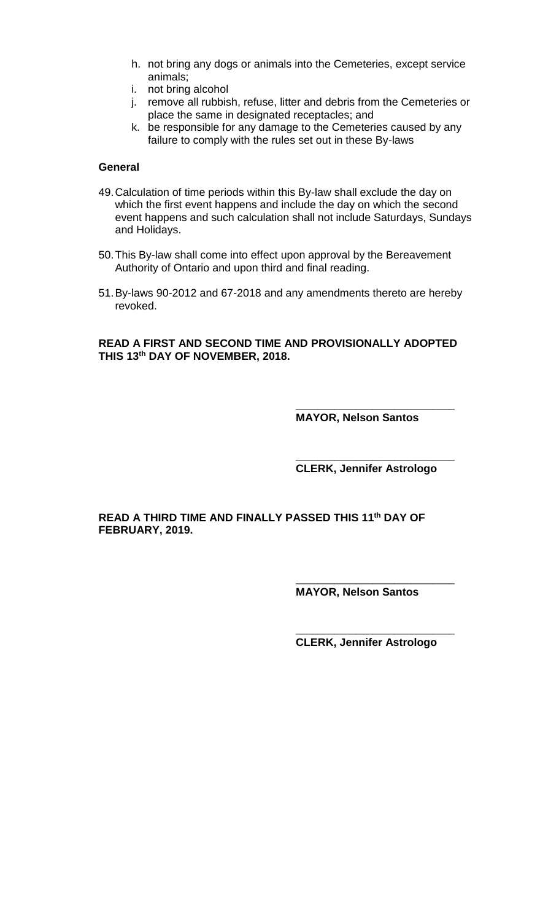- h. not bring any dogs or animals into the Cemeteries, except service animals;
- i. not bring alcohol
- j. remove all rubbish, refuse, litter and debris from the Cemeteries or place the same in designated receptacles; and
- k. be responsible for any damage to the Cemeteries caused by any failure to comply with the rules set out in these By-laws

#### **General**

- 49.Calculation of time periods within this By-law shall exclude the day on which the first event happens and include the day on which the second event happens and such calculation shall not include Saturdays, Sundays and Holidays.
- 50.This By-law shall come into effect upon approval by the Bereavement Authority of Ontario and upon third and final reading.
- 51.By-laws 90-2012 and 67-2018 and any amendments thereto are hereby revoked.

### **READ A FIRST AND SECOND TIME AND PROVISIONALLY ADOPTED THIS 13th DAY OF NOVEMBER, 2018.**

\_\_\_\_\_\_\_\_\_\_\_\_\_\_\_\_\_\_\_\_\_\_\_\_\_\_\_\_\_ **MAYOR, Nelson Santos**

\_\_\_\_\_\_\_\_\_\_\_\_\_\_\_\_\_\_\_\_\_\_\_\_\_\_\_\_\_ **CLERK, Jennifer Astrologo**

### **READ A THIRD TIME AND FINALLY PASSED THIS 11th DAY OF FEBRUARY, 2019.**

**MAYOR, Nelson Santos**

\_\_\_\_\_\_\_\_\_\_\_\_\_\_\_\_\_\_\_\_\_\_\_\_\_\_\_\_\_

**CLERK, Jennifer Astrologo**

\_\_\_\_\_\_\_\_\_\_\_\_\_\_\_\_\_\_\_\_\_\_\_\_\_\_\_\_\_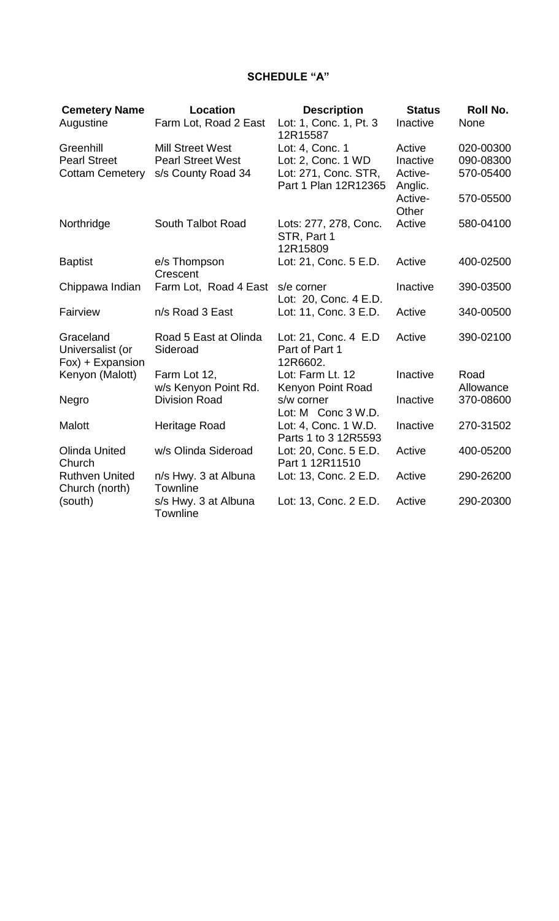# **SCHEDULE "A"**

| <b>Cemetery Name</b><br>Augustine                          | Location<br>Farm Lot, Road 2 East                                         | <b>Description</b><br>Lot: 1, Conc. 1, Pt. 3<br>12R15587      | <b>Status</b><br>Inactive     | Roll No.<br>None                    |
|------------------------------------------------------------|---------------------------------------------------------------------------|---------------------------------------------------------------|-------------------------------|-------------------------------------|
| Greenhill<br><b>Pearl Street</b><br><b>Cottam Cemetery</b> | <b>Mill Street West</b><br><b>Pearl Street West</b><br>s/s County Road 34 | Lot: 4, Conc. 1<br>Lot: 2, Conc. 1 WD<br>Lot: 271, Conc. STR, | Active<br>Inactive<br>Active- | 020-00300<br>090-08300<br>570-05400 |
|                                                            |                                                                           | Part 1 Plan 12R12365                                          | Anglic.<br>Active-<br>Other   | 570-05500                           |
| Northridge                                                 | South Talbot Road                                                         | Lots: 277, 278, Conc.<br>STR, Part 1<br>12R15809              | Active                        | 580-04100                           |
| <b>Baptist</b>                                             | e/s Thompson<br>Crescent                                                  | Lot: 21, Conc. 5 E.D.                                         | Active                        | 400-02500                           |
| Chippawa Indian                                            | Farm Lot, Road 4 East                                                     | s/e corner<br>Lot: 20, Conc. 4 E.D.                           | Inactive                      | 390-03500                           |
| Fairview                                                   | n/s Road 3 East                                                           | Lot: 11, Conc. 3 E.D.                                         | Active                        | 340-00500                           |
| Graceland<br>Universalist (or<br>Fox) + Expansion          | Road 5 East at Olinda<br>Sideroad                                         | Lot: 21, Conc. 4 E.D<br>Part of Part 1<br>12R6602.            | Active                        | 390-02100                           |
| Kenyon (Malott)                                            | Farm Lot 12,<br>w/s Kenyon Point Rd.                                      | Lot: Farm Lt. 12<br>Kenyon Point Road                         | Inactive                      | Road<br>Allowance                   |
| Negro                                                      | <b>Division Road</b>                                                      | s/w corner<br>Lot: M Conc 3 W.D.                              | Inactive                      | 370-08600                           |
| <b>Malott</b>                                              | Heritage Road                                                             | Lot: 4, Conc. 1 W.D.<br>Parts 1 to 3 12R5593                  | Inactive                      | 270-31502                           |
| <b>Olinda United</b><br>Church                             | w/s Olinda Sideroad                                                       | Lot: 20, Conc. 5 E.D.<br>Part 1 12R11510                      | Active                        | 400-05200                           |
| <b>Ruthven United</b><br>Church (north)                    | n/s Hwy. 3 at Albuna<br>Townline                                          | Lot: 13, Conc. 2 E.D.                                         | Active                        | 290-26200                           |
| (south)                                                    | s/s Hwy. 3 at Albuna<br><b>Townline</b>                                   | Lot: 13, Conc. 2 E.D.                                         | Active                        | 290-20300                           |